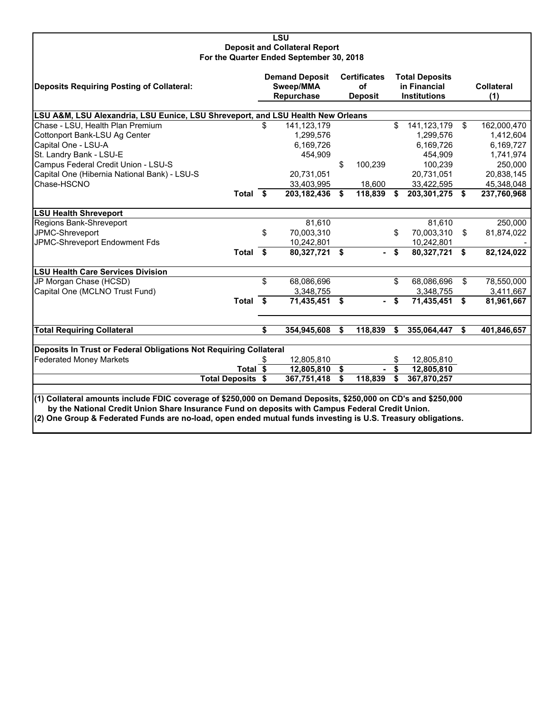#### **LSU Deposit and Collateral Report For the Quarter Ended September 30, 2018**

| Deposits Requiring Posting of Collateral:                                                                                                                                                                                                                                                                                        |      | <b>Demand Deposit</b><br>Sweep/MMA<br>Repurchase | <b>Certificates</b><br>of<br><b>Deposit</b> |    | <b>Total Deposits</b><br>in Financial<br><b>Institutions</b> |    | <b>Collateral</b><br>(1) |
|----------------------------------------------------------------------------------------------------------------------------------------------------------------------------------------------------------------------------------------------------------------------------------------------------------------------------------|------|--------------------------------------------------|---------------------------------------------|----|--------------------------------------------------------------|----|--------------------------|
| LSU A&M, LSU Alexandria, LSU Eunice, LSU Shreveport, and LSU Health New Orleans                                                                                                                                                                                                                                                  |      |                                                  |                                             |    |                                                              |    |                          |
| Chase - LSU, Health Plan Premium                                                                                                                                                                                                                                                                                                 | \$   | 141,123,179                                      |                                             | \$ | 141,123,179                                                  | \$ | 162,000,470              |
| Cottonport Bank-LSU Ag Center                                                                                                                                                                                                                                                                                                    |      | 1,299,576                                        |                                             |    | 1,299,576                                                    |    | 1,412,604                |
| Capital One - LSU-A                                                                                                                                                                                                                                                                                                              |      | 6,169,726                                        |                                             |    | 6,169,726                                                    |    | 6,169,727                |
| St. Landry Bank - LSU-E                                                                                                                                                                                                                                                                                                          |      | 454,909                                          |                                             |    | 454.909                                                      |    | 1,741,974                |
| Campus Federal Credit Union - LSU-S                                                                                                                                                                                                                                                                                              |      |                                                  | \$<br>100,239                               |    | 100,239                                                      |    | 250,000                  |
| Capital One (Hibernia National Bank) - LSU-S                                                                                                                                                                                                                                                                                     |      | 20,731,051                                       |                                             |    | 20,731,051                                                   |    | 20,838,145               |
| Chase-HSCNO                                                                                                                                                                                                                                                                                                                      |      | 33,403,995                                       | 18,600                                      |    | 33,422,595                                                   |    | 45,348,048               |
| Total \$                                                                                                                                                                                                                                                                                                                         |      | 203, 182, 436                                    | \$<br>118,839                               | \$ | 203,301,275 \$                                               |    | 237,760,968              |
| <b>LSU Health Shreveport</b>                                                                                                                                                                                                                                                                                                     |      |                                                  |                                             |    |                                                              |    |                          |
| Regions Bank-Shreveport                                                                                                                                                                                                                                                                                                          |      | 81,610                                           |                                             |    | 81.610                                                       |    | 250,000                  |
| JPMC-Shreveport                                                                                                                                                                                                                                                                                                                  | \$   | 70,003,310                                       |                                             | \$ | 70,003,310                                                   | \$ | 81,874,022               |
| JPMC-Shreveport Endowment Fds                                                                                                                                                                                                                                                                                                    |      | 10,242,801                                       |                                             |    | 10,242,801                                                   |    |                          |
| <b>Total</b>                                                                                                                                                                                                                                                                                                                     | - \$ | 80,327,721 \$                                    |                                             | \$ | 80,327,721                                                   | \$ | 82,124,022               |
| <b>LSU Health Care Services Division</b>                                                                                                                                                                                                                                                                                         |      |                                                  |                                             |    |                                                              |    |                          |
| JP Morgan Chase (HCSD)                                                                                                                                                                                                                                                                                                           | \$   | 68,086,696                                       |                                             | \$ | 68,086,696                                                   | \$ | 78,550,000               |
| Capital One (MCLNO Trust Fund)                                                                                                                                                                                                                                                                                                   |      | 3,348,755                                        |                                             |    | 3,348,755                                                    |    | 3,411,667                |
| Total                                                                                                                                                                                                                                                                                                                            | - \$ | 71,435,451                                       | \$                                          | \$ | 71,435,451                                                   | \$ | 81,961,667               |
| <b>Total Requiring Collateral</b>                                                                                                                                                                                                                                                                                                | \$   | 354,945,608                                      | \$<br>118,839                               | S. | 355,064,447                                                  | Ŝ. |                          |
|                                                                                                                                                                                                                                                                                                                                  |      |                                                  |                                             |    |                                                              |    | 401,846,657              |
| Deposits In Trust or Federal Obligations Not Requiring Collateral                                                                                                                                                                                                                                                                |      |                                                  |                                             |    |                                                              |    |                          |
| <b>Federated Money Markets</b>                                                                                                                                                                                                                                                                                                   | S    | 12,805,810                                       |                                             | \$ | 12,805,810                                                   |    |                          |
| Total \$                                                                                                                                                                                                                                                                                                                         |      | 12,805,810                                       | \$                                          | \$ | 12,805,810                                                   |    |                          |
| <b>Total Deposits \$</b>                                                                                                                                                                                                                                                                                                         |      | 367,751,418                                      | \$<br>118,839                               | \$ | 367,870,257                                                  |    |                          |
|                                                                                                                                                                                                                                                                                                                                  |      |                                                  |                                             |    |                                                              |    |                          |
| (1) Collateral amounts include FDIC coverage of \$250,000 on Demand Deposits, \$250,000 on CD's and \$250,000<br>by the National Credit Union Share Insurance Fund on deposits with Campus Federal Credit Union.<br>(2) One Group & Federated Funds are no-load, open ended mutual funds investing is U.S. Treasury obligations. |      |                                                  |                                             |    |                                                              |    |                          |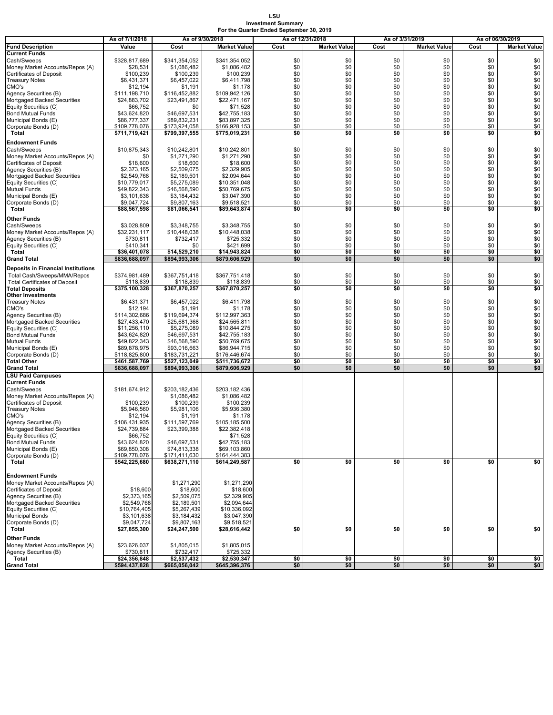#### **LSU Investment Summary For the Quarter Ended September 30, 2019**

|                                                         | As of 7/1/2018               | As of 9/30/2018             |                              | As of 12/31/2018 |                     | As of 3/31/2019 |                     |            | As of 06/30/2019    |
|---------------------------------------------------------|------------------------------|-----------------------------|------------------------------|------------------|---------------------|-----------------|---------------------|------------|---------------------|
| <b>Fund Description</b>                                 | Value                        | Cost                        | <b>Market Value</b>          | Cost             | <b>Market Value</b> | Cost            | <b>Market Value</b> | Cost       | <b>Market Value</b> |
| <b>Current Funds</b>                                    |                              |                             |                              |                  |                     |                 |                     |            |                     |
| Cash/Sweeps                                             | \$328,817,689                | \$341,354,052               | \$341.354.052                | \$0              | \$0                 | \$0             | \$0                 | \$0        | \$0                 |
| Money Market Accounts/Repos (A)                         | \$28,531                     | \$1,086,482                 | \$1,086,482                  | \$0              | \$0                 | \$0             | \$0                 | \$0        | \$0                 |
| <b>Certificates of Deposit</b>                          | \$100,239                    | \$100,239                   | \$100,239                    | \$0              | \$0                 | \$0             | \$0                 | \$0        | \$0                 |
| <b>Treasury Notes</b><br>CMO's                          | \$6,431,371                  | \$6,457,022                 | \$6,411,798                  | \$0<br>\$0       | \$0                 | \$0<br>\$0      | \$0                 | \$0        | \$0<br>\$0          |
| Agency Securities (B)                                   | \$12,194<br>\$111,198,710    | \$1,191<br>\$116,452,882    | \$1,178<br>\$109,942,126     | \$0              | \$0<br>\$0          | \$0             | \$0<br>\$0          | \$0<br>\$0 | \$0                 |
| Mortgaged Backed Securities                             | \$24,883,702                 | \$23,491,867                | \$22,471,167                 | \$0              | \$0                 | \$0             | \$0                 | \$0        | \$0                 |
| Equity Securities (C)                                   | \$66,752                     | \$0                         | \$71,528                     | \$0              | \$0                 | \$0             | \$0                 | \$0        | \$0                 |
| <b>Bond Mutual Funds</b>                                | \$43,624,820                 | \$46,697,531                | \$42,755,183                 | \$0              | \$0                 | \$0             | \$0                 | \$0        | \$0                 |
| Municipal Bonds (E)                                     | \$86,777,337                 | \$89,832,231                | \$83,897,325                 | \$0              | \$0                 | \$0             | \$0                 | \$0        | \$0                 |
| Corporate Bonds (D)                                     | \$109,778,076                | \$173,924,058               | \$166,928,153                | \$0              | \$0                 | \$0             | \$0                 | \$0        | \$0                 |
| Total                                                   | \$711,719,421                | \$799,397,555               | \$775,019,231                | \$0              | \$0                 | \$0             | \$0                 | \$0        | \$0                 |
| <b>Endowment Funds</b>                                  |                              |                             |                              |                  |                     |                 |                     |            |                     |
| Cash/Sweeps                                             | \$10,875,343                 | \$10.242.801                | \$10,242,801                 | \$0              | \$0                 | \$0             | \$0                 | \$0        | \$0                 |
| Money Market Accounts/Repos (A)                         | \$0                          | \$1,271,290                 | \$1,271,290                  | \$0              | \$0                 | \$0             | \$0                 | \$0        | \$0                 |
| <b>Certificates of Deposit</b>                          | \$18,600                     | \$18,600                    | \$18,600                     | \$0              | \$0                 | \$0             | \$0                 | \$0        | \$0                 |
| Agency Securities (B)                                   | \$2,373,165                  | \$2,509,075                 | \$2,329,905                  | \$0              | \$0                 | \$0             | \$0                 | \$0        | \$0                 |
| Mortgaged Backed Securities                             | \$2,549,768                  | \$2,189,501                 | \$2,094,644                  | \$0              | \$0                 | \$0             | \$0                 | \$0        | $\overline{$}0$     |
| Equity Securities (C)<br><b>Mutual Funds</b>            | \$10,779,017                 | \$5,275,089                 | \$10,351,048                 | \$0<br>\$0       | \$0                 | \$0             | \$0<br>\$0          | \$0<br>\$0 | \$0<br>\$0          |
| Municipal Bonds (E)                                     | \$49,822,343<br>\$3,101,638  | \$46,568,590<br>\$3,184,432 | \$50,769,675<br>\$3,047,390  | \$0              | \$0<br>\$0          | \$0<br>\$0      | \$0                 | \$0        | \$0                 |
| Corporate Bonds (D)                                     | \$9,047,724                  | \$9,807,163                 | \$9,518,521                  | \$0              | \$0                 | \$0             | \$0                 | \$0        | \$0                 |
| Total                                                   | \$88,567,598                 | \$81,066,541                | \$89,643,874                 | \$0              | \$0                 | \$0             | \$0                 | \$0        | \$0                 |
|                                                         |                              |                             |                              |                  |                     |                 |                     |            |                     |
| Other Funds                                             |                              | \$3,348,755                 | \$3,348,755                  | \$0              | \$0                 | \$0             | \$0                 | \$0        |                     |
| Cash/Sweeps<br>Money Market Accounts/Repos (A)          | \$3,028,809<br>\$32,231,117  | \$10.448.038                | \$10,448,038                 | \$0              | \$0                 | \$0             | \$0                 | \$0        | \$0<br>\$0          |
| Agency Securities (B)                                   | \$730,811                    | \$732,417                   | \$725,332                    | \$0              | \$0                 | \$0             | \$0                 | \$0        | \$0                 |
| Equity Securities (C)                                   | \$410,341                    | \$0                         | \$421,699                    | \$0              | \$0                 | \$0             | \$0                 | \$0        | \$0                 |
| Total                                                   | \$36,401,078                 | \$14,529,210                | \$14,943,824                 | \$0              | \$0                 | \$0             | \$0                 | \$0        | \$0                 |
| <b>Grand Total</b>                                      | \$836,688,097                | \$894,993,306               | \$879,606,929                | \$0              | \$0                 | \$0             | \$0                 | \$0        | \$0                 |
| <b>Deposits in Financial Institutions</b>               |                              |                             |                              |                  |                     |                 |                     |            |                     |
| Total Cash/Sweeps/MMA/Repos                             | \$374,981,489                | \$367,751,418               | \$367,751,418                | \$0              | \$0                 | \$0             | \$0                 | \$0        | \$0                 |
| <b>Total Certificates of Deposit</b>                    | \$118,839                    | \$118,839                   | \$118,839                    | \$0              | \$0                 | \$0             | \$0                 | \$0        | \$0                 |
| <b>Total Deposits</b>                                   | \$375,100,328                | \$367,870,257               | \$367,870,257                | \$0              | \$0                 | \$0             | \$0                 | \$0        | \$0                 |
| <b>Other Investments</b>                                |                              |                             |                              |                  |                     |                 |                     |            |                     |
| <b>Treasury Notes</b>                                   | \$6,431,371                  | \$6,457,022                 | \$6,411,798                  | \$0              | \$0                 | \$0             | \$0                 | \$0        | \$0                 |
| CMO's                                                   | \$12,194                     | \$1,191                     | \$1,178                      | \$0              | \$0                 | \$0             | \$0                 | \$0        | \$0                 |
| Agency Securities (B)                                   | \$114,302,686                | \$119,694,374               | \$112,997,363                | \$0              | \$0                 | \$0             | \$0                 | \$0        | \$0                 |
| Mortgaged Backed Securities                             | \$27,433,470                 | \$25,681,368                | \$24,565,811                 | \$0              | \$0                 | \$0             | \$0                 | \$0        | \$0                 |
| Equity Securities (C)<br><b>Bond Mutual Funds</b>       | \$11,256,110<br>\$43,624,820 | \$5,275,089<br>\$46,697,531 | \$10,844,275<br>\$42,755,183 | \$0<br>\$0       | \$0<br>\$0          | \$0<br>\$0      | \$0<br>\$0          | \$0<br>\$0 | \$0<br>\$0          |
| Mutual Funds                                            | \$49,822,343                 | \$46,568,590                | \$50,769,675                 | \$0              | \$0                 | \$0             | \$0                 | \$0        | \$0                 |
| Municipal Bonds (E)                                     | \$89,878,975                 | \$93,016,663                | \$86,944,715                 | \$0              | \$0                 | \$0             | \$0                 | \$0        | \$0                 |
| Corporate Bonds (D)                                     | \$118,825,800                | \$183,731,221               | \$176,446,674                | \$0              | \$0                 | \$0             | \$0                 | \$0        | \$0                 |
| <b>Total Other</b>                                      | \$461,587,769                | \$527,123,049               | \$511,736,672                | \$0              | \$0                 | \$0             | \$0                 | \$0        | \$0                 |
| <b>Grand Total</b>                                      | \$836,688,097                | \$894,993,306               | \$879,606,929                | \$0              | \$0                 | \$0             | \$0                 | \$0        | \$0                 |
| <b>LSU Paid Campuses</b>                                |                              |                             |                              |                  |                     |                 |                     |            |                     |
| <b>Current Funds</b>                                    |                              |                             |                              |                  |                     |                 |                     |            |                     |
| Cash/Sweeps                                             | \$181,674,912                | \$203,182,436               | \$203,182,436                |                  |                     |                 |                     |            |                     |
| Money Market Accounts/Repos (A)                         |                              | \$1,086,482                 | \$1,086,482                  |                  |                     |                 |                     |            |                     |
| <b>Certificates of Deposit</b>                          | \$100,239                    | \$100,239                   | \$100,239                    |                  |                     |                 |                     |            |                     |
| <b>Treasury Notes</b><br>CMO's                          | \$5,946,560<br>\$12,194      | \$5,981,106<br>\$1,191      | \$5,936,380<br>\$1,178       |                  |                     |                 |                     |            |                     |
| Agency Securities (B)                                   | \$106,431,935                | \$111,597,769               | \$105,185,500                |                  |                     |                 |                     |            |                     |
| Mortgaged Backed Securities                             | \$24,739,884                 | \$23,399,388                | \$22,382,418                 |                  |                     |                 |                     |            |                     |
| Equity Securities (C)                                   | \$66,752                     |                             | \$71,528                     |                  |                     |                 |                     |            |                     |
| <b>Bond Mutual Funds</b>                                | \$43,624,820                 | \$46,697,531                | \$42,755,183                 |                  |                     |                 |                     |            |                     |
| Municipal Bonds (E)                                     | \$69,850,308                 | \$74,813,338                | \$69,103,860                 |                  |                     |                 |                     |            |                     |
| Corporate Bonds (D)                                     | \$109,778,076                | \$171,411,630               | \$164,444,383                |                  |                     |                 |                     |            |                     |
| Total                                                   | \$542,225,680                | \$638,271,110               | \$614,249,587                | \$0              | \$0                 | \$0             | \$0                 | \$0        | \$0                 |
|                                                         |                              |                             |                              |                  |                     |                 |                     |            |                     |
| <b>Endowment Funds</b>                                  |                              |                             |                              |                  |                     |                 |                     |            |                     |
| Money Market Accounts/Repos (A)                         |                              | \$1,271,290                 | \$1,271,290                  |                  |                     |                 |                     |            |                     |
| <b>Certificates of Deposit</b><br>Agency Securities (B) | \$18,600<br>\$2,373,165      | \$18,600<br>\$2,509,075     | \$18,600<br>\$2,329,905      |                  |                     |                 |                     |            |                     |
| Mortgaged Backed Securities                             | \$2,549,768                  | \$2,189,501                 | \$2,094,644                  |                  |                     |                 |                     |            |                     |
| Equity Securities (C)                                   | \$10,764,405                 | \$5,267,439                 | \$10,336,092                 |                  |                     |                 |                     |            |                     |
| <b>Municipal Bonds</b>                                  | \$3,101,638                  | \$3,184,432                 | \$3,047,390                  |                  |                     |                 |                     |            |                     |
| Corporate Bonds (D)                                     | \$9,047,724                  | \$9,807,163                 | \$9,518,521                  |                  |                     |                 |                     |            |                     |
| Total                                                   | \$27,855,300                 | \$24,247,500                | \$28,616,442                 | \$0              | \$0                 | \$0             | \$0                 | \$0        | \$0                 |
| Other Funds                                             |                              |                             |                              |                  |                     |                 |                     |            |                     |
| Money Market Accounts/Repos (A)                         | \$23,626,037                 | \$1,805,015                 | \$1,805,015                  |                  |                     |                 |                     |            |                     |
| Agency Securities (B)                                   | \$730,811                    | \$732,417                   | \$725,332                    |                  |                     |                 |                     |            |                     |
| Total                                                   | \$24,356,848                 | \$2,537,432                 | \$2,530,347                  | \$0              | \$0                 | \$0             | \$0                 | \$0        | \$0                 |
| <b>Grand Total</b>                                      | \$594,437,828                | \$665,056,042               | \$645,396,376                | \$0              | \$0                 | \$0             | \$0                 | \$0        | \$0                 |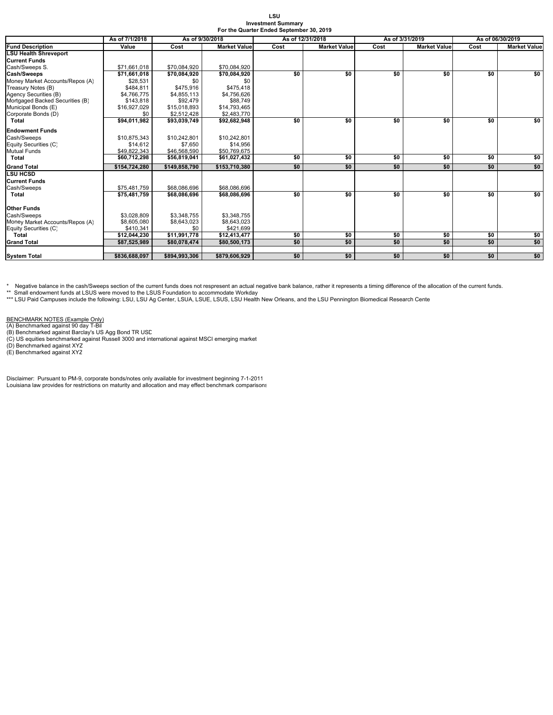| LSU                                      |  |
|------------------------------------------|--|
| <b>Investment Summarv</b>                |  |
| For the Quarter Ended September 30, 2019 |  |

|                                 | As of 7/1/2018 | As of 9/30/2018<br>As of 12/31/2018 |                     |      |                     | As of 3/31/2019 | As of 06/30/2019    |      |                     |
|---------------------------------|----------------|-------------------------------------|---------------------|------|---------------------|-----------------|---------------------|------|---------------------|
| <b>Fund Description</b>         | Value          | Cost                                | <b>Market Value</b> | Cost | <b>Market Value</b> | Cost            | <b>Market Value</b> | Cost | <b>Market Value</b> |
| <b>LSU Health Shreveport</b>    |                |                                     |                     |      |                     |                 |                     |      |                     |
| <b>Current Funds</b>            |                |                                     |                     |      |                     |                 |                     |      |                     |
| Cash/Sweeps S.                  | \$71,661,018   | \$70,084,920                        | \$70,084,920        |      |                     |                 |                     |      |                     |
| Cash/Sweeps                     | \$71,661,018   | \$70,084,920                        | \$70,084,920        | \$0  | \$0                 | \$0             | \$0                 | \$0  | \$0                 |
| Money Market Accounts/Repos (A) | \$28.531       | \$0                                 | \$0                 |      |                     |                 |                     |      |                     |
| Treasury Notes (B)              | \$484.811      | \$475,916                           | \$475,418           |      |                     |                 |                     |      |                     |
| Agency Securities (B)           | \$4,766,775    | \$4,855,113                         | \$4,756,626         |      |                     |                 |                     |      |                     |
| Mortgaged Backed Securities (B) | \$143,818      | \$92,479                            | \$88,749            |      |                     |                 |                     |      |                     |
| Municipal Bonds (E)             | \$16,927,029   | \$15,018,893                        | \$14,793,465        |      |                     |                 |                     |      |                     |
| Corporate Bonds (D)             | \$0            | \$2,512,428                         | \$2,483,770         |      |                     |                 |                     |      |                     |
| Total                           | \$94.011.982   | \$93.039.749                        | \$92,682,948        | \$0  | \$0                 | \$0             | \$0                 | \$0  | \$0                 |
| <b>Endowment Funds</b>          |                |                                     |                     |      |                     |                 |                     |      |                     |
| Cash/Sweeps                     | \$10,875,343   | \$10.242.801                        | \$10,242,801        |      |                     |                 |                     |      |                     |
| Equity Securities (C)           | \$14,612       | \$7,650                             | \$14,956            |      |                     |                 |                     |      |                     |
| <b>Mutual Funds</b>             | \$49,822,343   | \$46,568,590                        | \$50,769,675        |      |                     |                 |                     |      |                     |
| Total                           | \$60,712,298   | \$56,819,041                        | \$61,027,432        | \$0  | \$0                 | \$0             | \$0                 | \$0  | \$0                 |
| <b>Grand Total</b>              | \$154.724.280  | \$149.858.790                       | \$153.710.380       | \$0  | \$0                 | \$0             | \$0                 | \$0  | \$0                 |
| <b>LSU HCSD</b>                 |                |                                     |                     |      |                     |                 |                     |      |                     |
| <b>Current Funds</b>            |                |                                     |                     |      |                     |                 |                     |      |                     |
| Cash/Sweeps                     | \$75,481,759   | \$68,086,696                        | \$68,086,696        |      |                     |                 |                     |      |                     |
| Total                           | \$75,481,759   | \$68,086,696                        | \$68,086,696        | \$0  | \$0                 | \$0             | \$0                 | \$0  | \$0                 |
| Other Funds                     |                |                                     |                     |      |                     |                 |                     |      |                     |
| Cash/Sweeps                     | \$3.028.809    | \$3,348,755                         | \$3,348,755         |      |                     |                 |                     |      |                     |
| Money Market Accounts/Repos (A) | \$8,605,080    | \$8,643,023                         | \$8,643,023         |      |                     |                 |                     |      |                     |
| Equity Securities (C)           | \$410.341      | \$0                                 | \$421.699           |      |                     |                 |                     |      |                     |
| Total                           | \$12,044,230   | \$11,991,778                        | \$12,413,477        | \$0  | \$0                 | \$0             | \$0                 | \$0  | \$0                 |
| <b>Grand Total</b>              | \$87,525,989   | \$80,078,474                        | \$80,500,173        | \$0  | \$0                 | \$0             | \$0                 | \$0  | \$0                 |
|                                 |                |                                     |                     |      |                     |                 |                     |      |                     |
| <b>System Total</b>             | \$836,688,097  | \$894.993.306                       | \$879.606.929       | \$0  | \$0                 | \$0             | \$0                 | \$0  | \$0                 |

\* Negative balance in the cash/Sweeps section of the current funds does not respresent an actual negative bank balance, rather it represents a timing difference of the allocation of the current funds.

\*\* Small endowment funds at LSUS were moved to the LSUS Foundation to accommodate Workday<br>\*\*\* LSU Paid Campuses include the following: LSU, LSU Ag Center, LSUA, LSUE, LSUS, LSU Health New Orleans, and the LSU Pennington Bi

BENCHMARK NOTES (Example Only)<br>(A) Benchmarked against 90 day T-Bil<br>(B) Benchmarked against Barclay's US Agg Bond TR USD<br>(C) US equities benchmarked against Russell 3000 and international against MSCI emerging market<br>(D) B

Disclaimer: Pursuant to PM-9, corporate bonds/notes only available for investment beginning 7-1-2011 Louisiana law provides for restrictions on maturity and allocation and may effect benchmark comparisons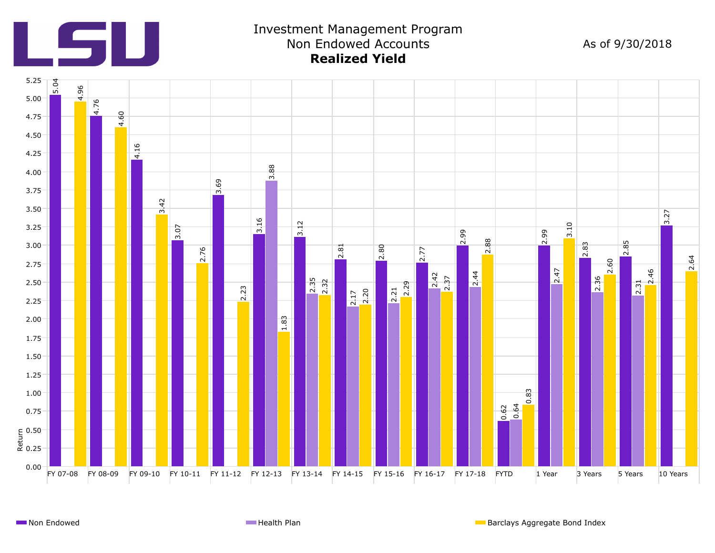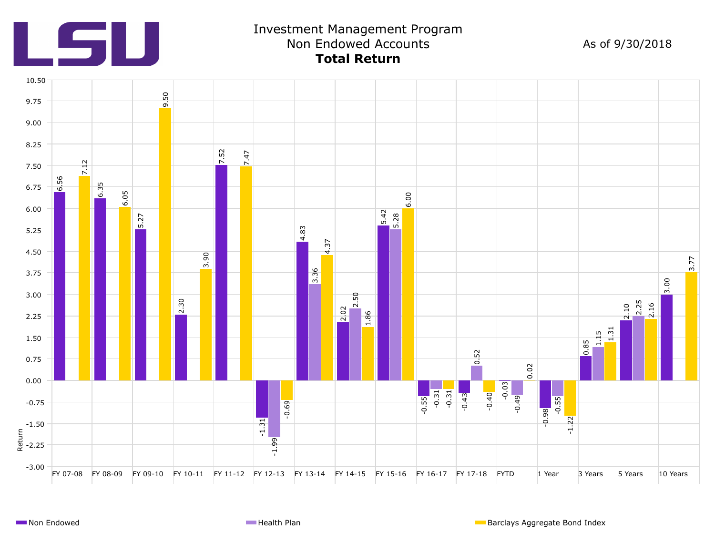

# Investment Management Program Non Endowed Accounts As of 9/30/2018 **Total Return**

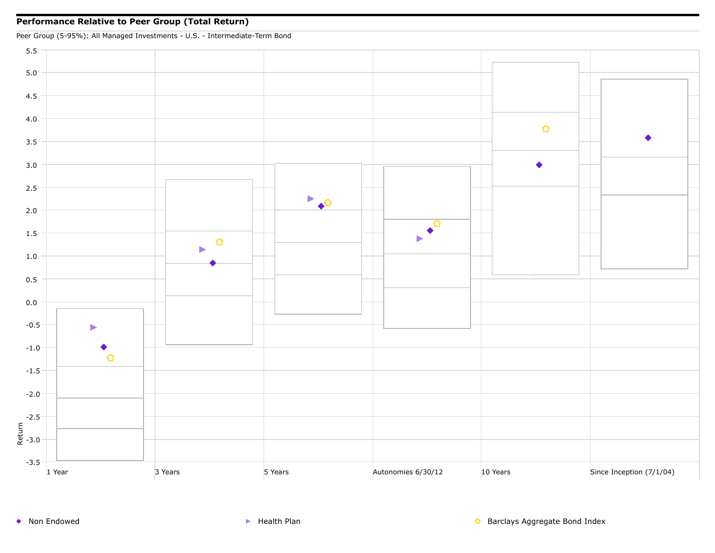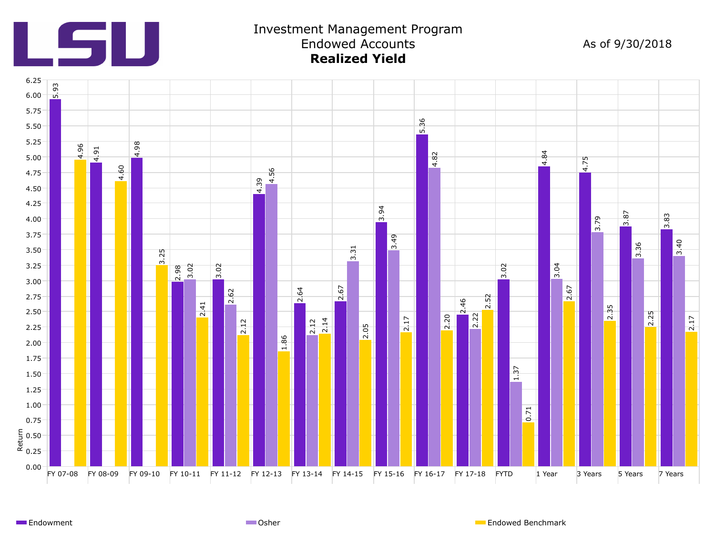

### Investment Management Program Endowed Accounts As of 9/30/2018 **Realized Yield**



Endowment **Endowed Benchmark** Communication Communication Communication Communication Communication Communication Communication Communication Communication Communication Communication Communication Communication Communicat